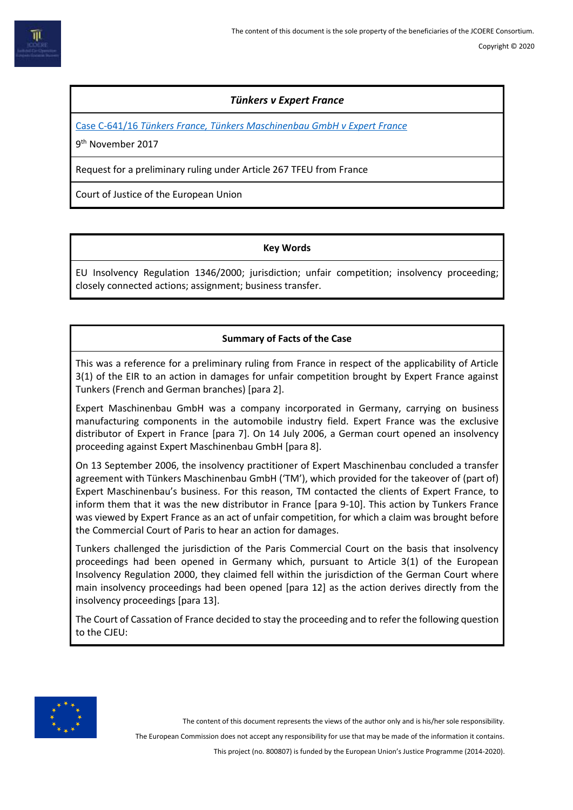## *Tünkers v Expert France*

Case C-641/16 *[Tünkers France, Tünkers Maschinenbau GmbH v Expert France](http://curia.europa.eu/juris/document/document.jsf?text=&docid=196503&pageIndex=0&doclang=en&mode=lst&dir=&occ=first&part=1&cid=8409231)*

9<sup>th</sup> November 2017

Request for a preliminary ruling under Article 267 TFEU from France

Court of Justice of the European Union

#### **Key Words**

EU Insolvency Regulation 1346/2000; jurisdiction; unfair competition; insolvency proceeding; closely connected actions; assignment; business transfer.

# **Summary of Facts of the Case**

This was a reference for a preliminary ruling from France in respect of the applicability of Article 3(1) of the EIR to an action in damages for unfair competition brought by Expert France against Tunkers (French and German branches) [para 2].

Expert Maschinenbau GmbH was a company incorporated in Germany, carrying on business manufacturing components in the automobile industry field. Expert France was the exclusive distributor of Expert in France [para 7]. On 14 July 2006, a German court opened an insolvency proceeding against Expert Maschinenbau GmbH [para 8].

On 13 September 2006, the insolvency practitioner of Expert Maschinenbau concluded a transfer agreement with Tünkers Maschinenbau GmbH ('TM'), which provided for the takeover of (part of) Expert Maschinenbau's business. For this reason, TM contacted the clients of Expert France, to inform them that it was the new distributor in France [para 9-10]. This action by Tunkers France was viewed by Expert France as an act of unfair competition, for which a claim was brought before the Commercial Court of Paris to hear an action for damages.

Tunkers challenged the jurisdiction of the Paris Commercial Court on the basis that insolvency proceedings had been opened in Germany which, pursuant to Article 3(1) of the European Insolvency Regulation 2000, they claimed fell within the jurisdiction of the German Court where main insolvency proceedings had been opened [para 12] as the action derives directly from the insolvency proceedings [para 13].

The Court of Cassation of France decided to stay the proceeding and to refer the following question to the CJEU:



The content of this document represents the views of the author only and is his/her sole responsibility.

The European Commission does not accept any responsibility for use that may be made of the information it contains.

This project (no. 800807) is funded by the European Union's Justice Programme (2014-2020).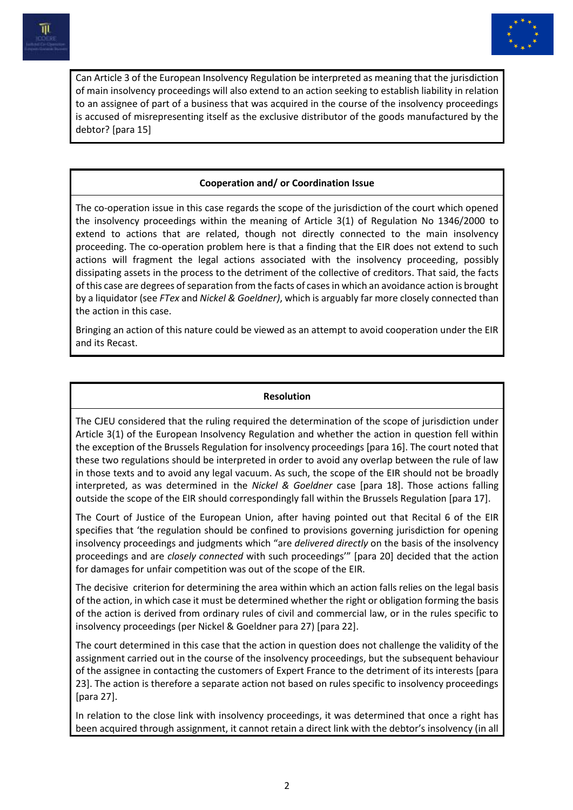



Can Article 3 of the European Insolvency Regulation be interpreted as meaning that the jurisdiction of main insolvency proceedings will also extend to an action seeking to establish liability in relation to an assignee of part of a business that was acquired in the course of the insolvency proceedings is accused of misrepresenting itself as the exclusive distributor of the goods manufactured by the debtor? [para 15]

### **Cooperation and/ or Coordination Issue**

The co-operation issue in this case regards the scope of the jurisdiction of the court which opened the insolvency proceedings within the meaning of Article 3(1) of Regulation No 1346/2000 to extend to actions that are related, though not directly connected to the main insolvency proceeding. The co-operation problem here is that a finding that the EIR does not extend to such actions will fragment the legal actions associated with the insolvency proceeding, possibly dissipating assets in the process to the detriment of the collective of creditors. That said, the facts of this case are degrees of separation from the facts of cases in which an avoidance action is brought by a liquidator (see *FTex* and *Nickel & Goeldner)*, which is arguably far more closely connected than the action in this case.

Bringing an action of this nature could be viewed as an attempt to avoid cooperation under the EIR and its Recast.

#### **Resolution**

The CJEU considered that the ruling required the determination of the scope of jurisdiction under Article 3(1) of the European Insolvency Regulation and whether the action in question fell within the exception of the Brussels Regulation for insolvency proceedings [para 16]. The court noted that these two regulations should be interpreted in order to avoid any overlap between the rule of law in those texts and to avoid any legal vacuum. As such, the scope of the EIR should not be broadly interpreted, as was determined in the *Nickel & Goeldner* case [para 18]. Those actions falling outside the scope of the EIR should correspondingly fall within the Brussels Regulation [para 17].

The Court of Justice of the European Union, after having pointed out that Recital 6 of the EIR specifies that 'the regulation should be confined to provisions governing jurisdiction for opening insolvency proceedings and judgments which "are *delivered directly* on the basis of the insolvency proceedings and are *closely connected* with such proceedings'" [para 20] decided that the action for damages for unfair competition was out of the scope of the EIR.

The decisive criterion for determining the area within which an action falls relies on the legal basis of the action, in which case it must be determined whether the right or obligation forming the basis of the action is derived from ordinary rules of civil and commercial law, or in the rules specific to insolvency proceedings (per Nickel & Goeldner para 27) [para 22].

The court determined in this case that the action in question does not challenge the validity of the assignment carried out in the course of the insolvency proceedings, but the subsequent behaviour of the assignee in contacting the customers of Expert France to the detriment of its interests [para 23]. The action is therefore a separate action not based on rules specific to insolvency proceedings [para 27].

In relation to the close link with insolvency proceedings, it was determined that once a right has been acquired through assignment, it cannot retain a direct link with the debtor's insolvency (in all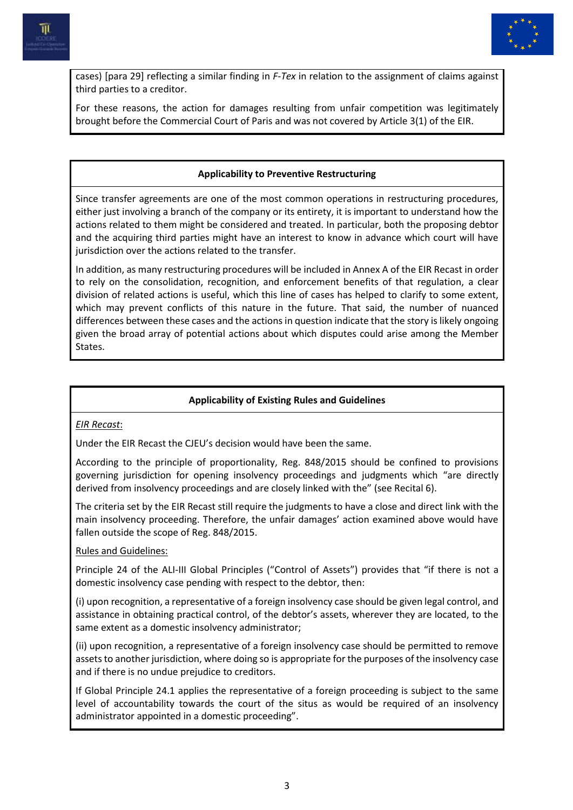



cases) [para 29] reflecting a similar finding in *F-Tex* in relation to the assignment of claims against third parties to a creditor.

For these reasons, the action for damages resulting from unfair competition was legitimately brought before the Commercial Court of Paris and was not covered by Article 3(1) of the EIR.

#### **Applicability to Preventive Restructuring**

Since transfer agreements are one of the most common operations in restructuring procedures, either just involving a branch of the company or its entirety, it is important to understand how the actions related to them might be considered and treated. In particular, both the proposing debtor and the acquiring third parties might have an interest to know in advance which court will have jurisdiction over the actions related to the transfer.

In addition, as many restructuring procedures will be included in Annex A of the EIR Recast in order to rely on the consolidation, recognition, and enforcement benefits of that regulation, a clear division of related actions is useful, which this line of cases has helped to clarify to some extent, which may prevent conflicts of this nature in the future. That said, the number of nuanced differences between these cases and the actions in question indicate that the story is likely ongoing given the broad array of potential actions about which disputes could arise among the Member States.

### **Applicability of Existing Rules and Guidelines**

*EIR Recast*:

Under the EIR Recast the CJEU's decision would have been the same.

According to the principle of proportionality, Reg. 848/2015 should be confined to provisions governing jurisdiction for opening insolvency proceedings and judgments which "are directly derived from insolvency proceedings and are closely linked with the" (see Recital 6).

The criteria set by the EIR Recast still require the judgments to have a close and direct link with the main insolvency proceeding. Therefore, the unfair damages' action examined above would have fallen outside the scope of Reg. 848/2015.

Rules and Guidelines:

Principle 24 of the ALI-III Global Principles ("Control of Assets") provides that "if there is not a domestic insolvency case pending with respect to the debtor, then:

(i) upon recognition, a representative of a foreign insolvency case should be given legal control, and assistance in obtaining practical control, of the debtor's assets, wherever they are located, to the same extent as a domestic insolvency administrator;

(ii) upon recognition, a representative of a foreign insolvency case should be permitted to remove assets to another jurisdiction, where doing so is appropriate for the purposes of the insolvency case and if there is no undue prejudice to creditors.

If Global Principle 24.1 applies the representative of a foreign proceeding is subject to the same level of accountability towards the court of the situs as would be required of an insolvency administrator appointed in a domestic proceeding".